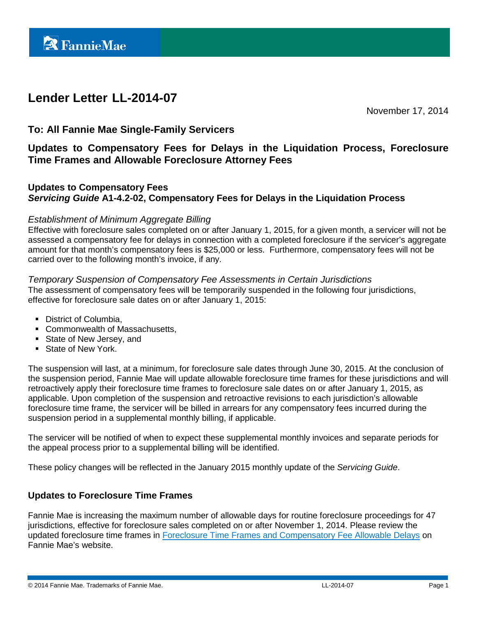# **Lender Letter LL-2014-07**

November 17, 2014

# **To: All Fannie Mae Single-Family Servicers**

**Updates to Compensatory Fees for Delays in the Liquidation Process, Foreclosure Time Frames and Allowable Foreclosure Attorney Fees**

# **Updates to Compensatory Fees** *Servicing Guide* **A1-4.2-02, Compensatory Fees for Delays in the Liquidation Process**

#### *Establishment of Minimum Aggregate Billing*

Effective with foreclosure sales completed on or after January 1, 2015, for a given month, a servicer will not be assessed a compensatory fee for delays in connection with a completed foreclosure if the servicer's aggregate amount for that month's compensatory fees is \$25,000 or less. Furthermore, compensatory fees will not be carried over to the following month's invoice, if any.

#### *Temporary Suspension of Compensatory Fee Assessments in Certain Jurisdictions*

The assessment of compensatory fees will be temporarily suspended in the following four jurisdictions, effective for foreclosure sale dates on or after January 1, 2015:

- District of Columbia.
- **Commonwealth of Massachusetts,**
- State of New Jersey, and
- State of New York.

The suspension will last, at a minimum, for foreclosure sale dates through June 30, 2015. At the conclusion of the suspension period, Fannie Mae will update allowable foreclosure time frames for these jurisdictions and will retroactively apply their foreclosure time frames to foreclosure sale dates on or after January 1, 2015, as applicable. Upon completion of the suspension and retroactive revisions to each jurisdiction's allowable foreclosure time frame, the servicer will be billed in arrears for any compensatory fees incurred during the suspension period in a supplemental monthly billing, if applicable.

The servicer will be notified of when to expect these supplemental monthly invoices and separate periods for the appeal process prior to a supplemental billing will be identified.

These policy changes will be reflected in the January 2015 monthly update of the *Servicing Guide*.

# **Updates to Foreclosure Time Frames**

Fannie Mae is increasing the maximum number of allowable days for routine foreclosure proceedings for 47 jurisdictions, effective for foreclosure sales completed on or after November 1, 2014. Please review the updated foreclosure time frames in [Foreclosure Time Frames and Compensatory Fee Allowable Delays](https://www.fanniemae.com/content/guide_exhibit/foreclosure-timeframes-compensatory-fees-allowable-delays.pdf) on Fannie Mae's website.